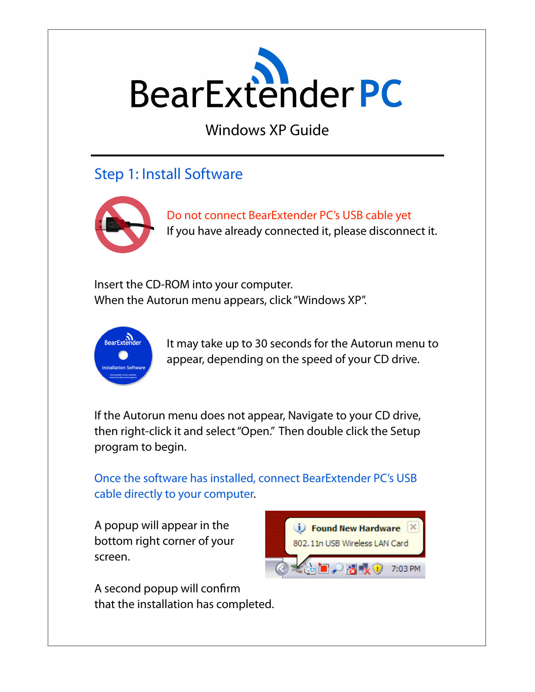

Windows XP Guide

## Step 1: Install Software



Do not connect BearExtender PC's USB cable yet If you have already connected it, please disconnect it.

Insert the CD-ROM into your computer. When the Autorun menu appears, click "Windows XP".



It may take up to 30 seconds for the Autorun menu to appear, depending on the speed of your CD drive.

If the Autorun menu does not appear, Navigate to your CD drive, then right-click it and select "Open." Then double click the Setup program to begin.

Once the software has installed, connect BearExtender PC's USB cable directly to your computer.

A popup will appear in the bottom right corner of your screen.

A second popup will confirm that the installation has completed.

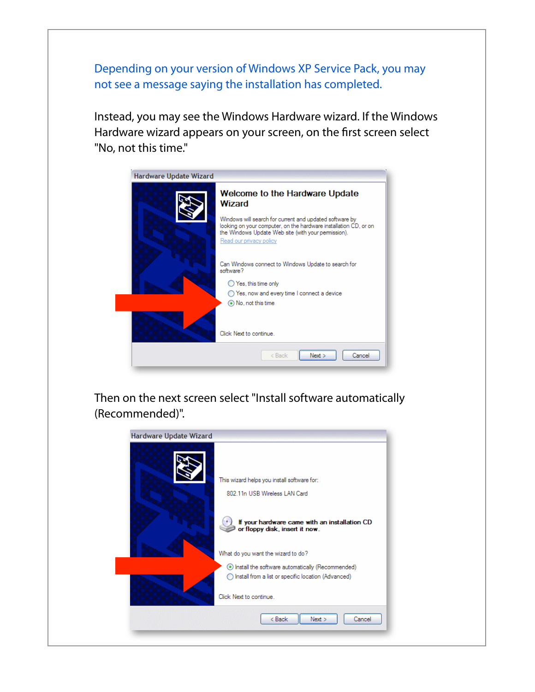Depending on your version of Windows XP Service Pack, you may not see a message saying the installation has completed.

Instead, you may see the Windows Hardware wizard. If the Windows Hardware wizard appears on your screen, on the first screen select "No, not this time."



Then on the next screen select "Install software automatically (Recommended)".

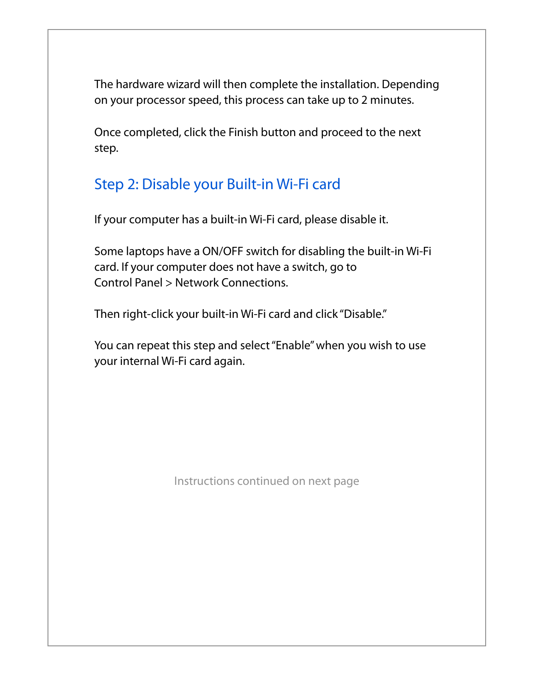The hardware wizard will then complete the installation. Depending on your processor speed, this process can take up to 2 minutes.

Once completed, click the Finish button and proceed to the next step.

## Step 2: Disable your Built-in Wi-Fi card

If your computer has a built-in Wi-Fi card, please disable it.

Some laptops have a ON/OFF switch for disabling the built-in Wi-Fi card. If your computer does not have a switch, go to Control Panel > Network Connections.

Then right-click your built-in Wi-Fi card and click "Disable."

You can repeat this step and select "Enable" when you wish to use your internal Wi-Fi card again.

Instructions continued on next page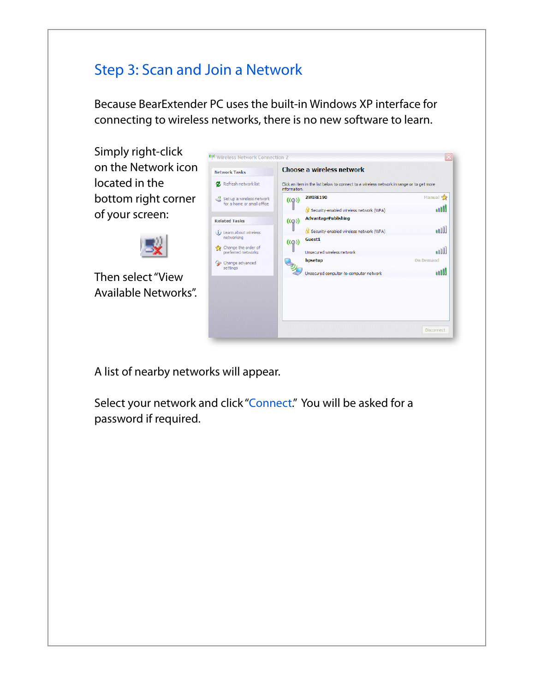# Step 3: Scan and Join a Network

Because BearExtender PC uses the built-in Windows XP interface for connecting to wireless networks, there is no new software to learn.

Simply right-click on the Network icon located in the bottom right corner of your screen:



Then select "View Available Networks".



A list of nearby networks will appear.

Select your network and click "Connect." You will be asked for a password if required.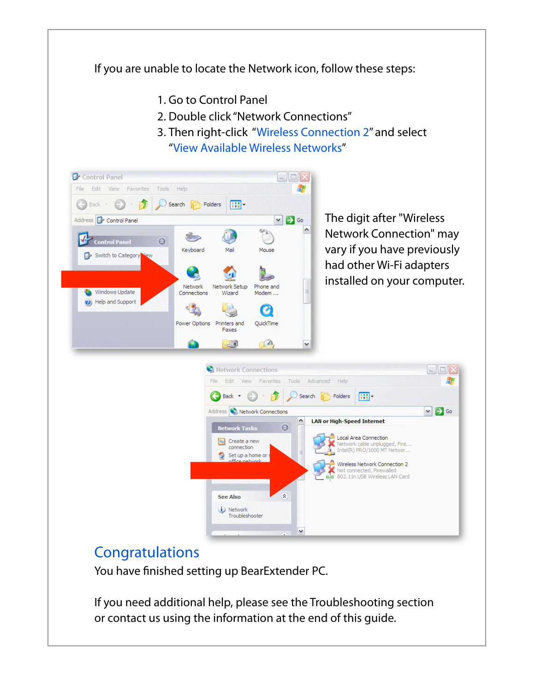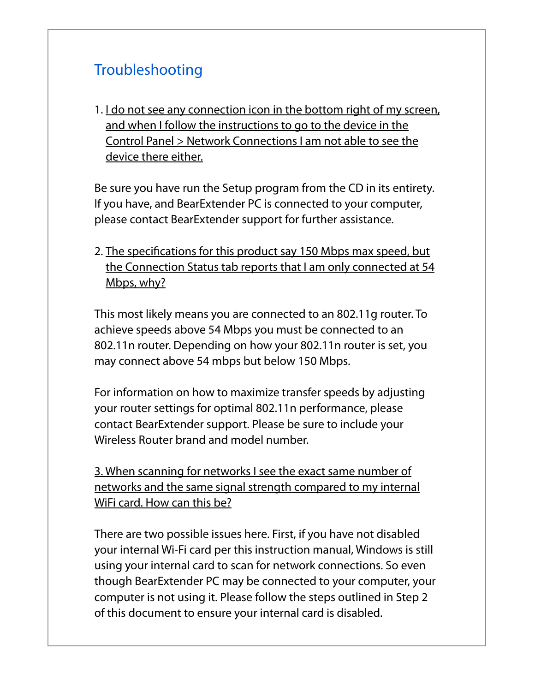# Troubleshooting

1. I do not see any connection icon in the bottom right of my screen, and when I follow the instructions to go to the device in the Control Panel > Network Connections I am not able to see the device there either.

Be sure you have run the Setup program from the CD in its entirety. If you have, and BearExtender PC is connected to your computer, please contact BearExtender support for further assistance.

2. The specifications for this product say 150 Mbps max speed, but the Connection Status tab reports that I am only connected at 54 Mbps, why?

This most likely means you are connected to an 802.11g router. To achieve speeds above 54 Mbps you must be connected to an 802.11n router. Depending on how your 802.11n router is set, you may connect above 54 mbps but below 150 Mbps.

For information on how to maximize transfer speeds by adjusting your router settings for optimal 802.11n performance, please contact BearExtender support. Please be sure to include your Wireless Router brand and model number.

3. When scanning for networks I see the exact same number of networks and the same signal strength compared to my internal WiFi card. How can this be?

There are two possible issues here. First, if you have not disabled your internal Wi-Fi card per this instruction manual, Windows is still using your internal card to scan for network connections. So even though BearExtender PC may be connected to your computer, your computer is not using it. Please follow the steps outlined in Step 2 of this document to ensure your internal card is disabled.